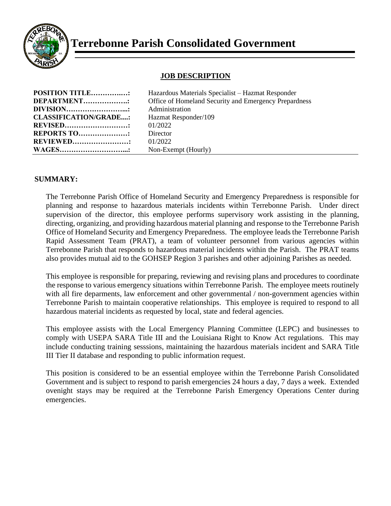

# **Terrebonne Parish Consolidated Government**

### **JOB DESCRIPTION**

| <b>POSITION TITLE:</b>       | Hazardous Materials Specialist – Hazmat Responder     |
|------------------------------|-------------------------------------------------------|
| <b>DEPARTMENT::</b>          | Office of Homeland Security and Emergency Prepardness |
| <b>DIVISION</b> .            | Administration                                        |
| <b>CLASSIFICATION/GRADE:</b> | Hazmat Responder/109                                  |
| <b>REVISED</b> :             | 01/2022                                               |
| <b>REPORTS TO:</b>           | Director                                              |
| <b>REVIEWED:</b>             | 01/2022                                               |
| <b>WAGES</b> .               | Non-Exempt (Hourly)                                   |

#### **SUMMARY:**

The Terrebonne Parish Office of Homeland Security and Emergency Preparedness is responsible for planning and response to hazardous materials incidents within Terrebonne Parish. Under direct supervision of the director, this employee performs supervisory work assisting in the planning, directing, organizing, and providing hazardous material planning and response to the Terrebonne Parish Office of Homeland Security and Emergency Preparedness. The employee leads the Terrebonne Parish Rapid Assessment Team (PRAT), a team of volunteer personnel from various agencies within Terrebonne Parish that responds to hazardous material incidents within the Parish. The PRAT teams also provides mutual aid to the GOHSEP Region 3 parishes and other adjoining Parishes as needed.

This employee is responsible for preparing, reviewing and revising plans and procedures to coordinate the response to various emergency situations within Terrebonne Parish. The employee meets routinely with all fire deparments, law enforcement and other governmental / non-government agencies within Terrebonne Parish to maintain cooperative relationships. This employee is required to respond to all hazardous material incidents as requested by local, state and federal agencies.

This employee assists with the Local Emergency Planning Committee (LEPC) and businesses to comply with USEPA SARA Title III and the Louisiana Right to Know Act regulations. This may include conducting training sesssions, maintaining the hazardous materials incident and SARA Title III Tier II database and responding to public information request.

This position is considered to be an essential employee within the Terrebonne Parish Consolidated Government and is subject to respond to parish emergencies 24 hours a day, 7 days a week. Extended ovenight stays may be required at the Terrebonne Parish Emergency Operations Center during emergencies.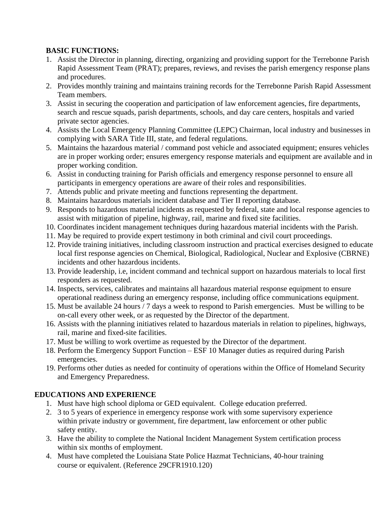### **BASIC FUNCTIONS:**

- 1. Assist the Director in planning, directing, organizing and providing support for the Terrebonne Parish Rapid Assessment Team (PRAT); prepares, reviews, and revises the parish emergency response plans and procedures.
- 2. Provides monthly training and maintains training records for the Terrebonne Parish Rapid Assessment Team members.
- 3. Assist in securing the cooperation and participation of law enforcement agencies, fire departments, search and rescue squads, parish departments, schools, and day care centers, hospitals and varied private sector agencies.
- 4. Assists the Local Emergency Planning Committee (LEPC) Chairman, local industry and businesses in complying with SARA Title III, state, and federal regulations.
- 5. Maintains the hazardous material / command post vehicle and associated equipment; ensures vehicles are in proper working order; ensures emergency response materials and equipment are available and in proper working condition.
- 6. Assist in conducting training for Parish officials and emergency response personnel to ensure all participants in emergency operations are aware of their roles and responsibilities.
- 7. Attends public and private meeting and functions representing the department.
- 8. Maintains hazardous materials incident database and Tier II reporting database.
- 9. Responds to hazardous material incidents as requested by federal, state and local response agencies to assist with mitigation of pipeline, highway, rail, marine and fixed site facilities.
- 10. Coordinates incident management techniques during hazardous material incidents with the Parish.
- 11. May be required to provide expert testimony in both criminal and civil court proceedings.
- 12. Provide training initiatives, including classroom instruction and practical exercises designed to educate local first response agencies on Chemical, Biological, Radiological, Nuclear and Explosive (CBRNE) incidents and other hazardous incidents.
- 13. Provide leadership, i.e, incident command and technical support on hazardous materials to local first responders as requested.
- 14. Inspects, services, calibrates and maintains all hazardous material response equipment to ensure operational readiness during an emergency response, including office communications equipment.
- 15. Must be available 24 hours / 7 days a week to respond to Parish emergencies. Must be willing to be on-call every other week, or as requested by the Director of the department.
- 16. Assists with the planning initiatives related to hazardous materials in relation to pipelines, highways, rail, marine and fixed-site facilities.
- 17. Must be willing to work overtime as requested by the Director of the department.
- 18. Perform the Emergency Support Function ESF 10 Manager duties as required during Parish emergencies.
- 19. Performs other duties as needed for continuity of operations within the Office of Homeland Security and Emergency Preparedness.

# **EDUCATIONS AND EXPERIENCE**

- 1. Must have high school diploma or GED equivalent. College education preferred.
- 2. 3 to 5 years of experience in emergency response work with some supervisory experience within private industry or government, fire department, law enforcement or other public safety entity.
- 3. Have the ability to complete the National Incident Management System certification process within six months of employment.
- 4. Must have completed the Louisiana State Police Hazmat Technicians, 40-hour training course or equivalent. (Reference 29CFR1910.120)